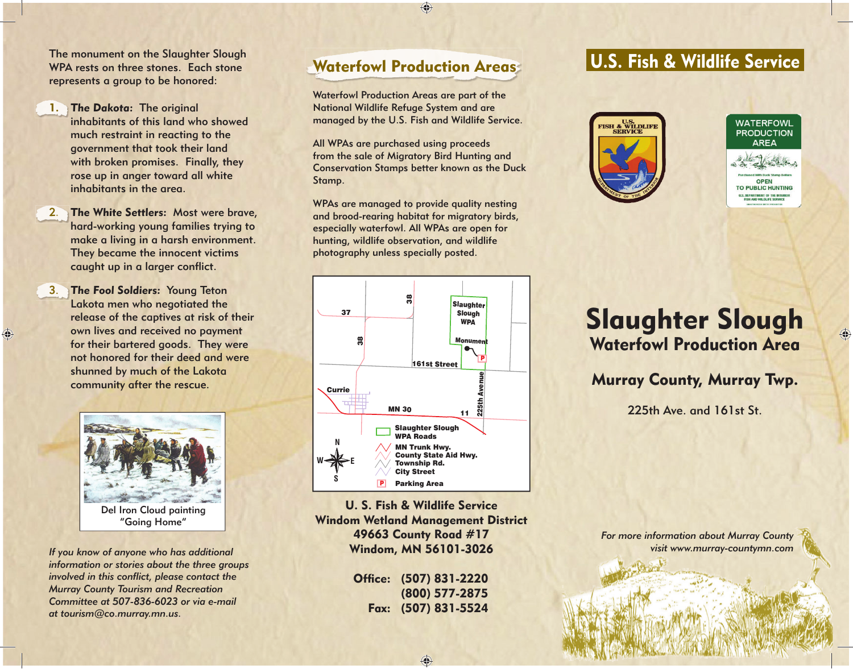The monument on the Slaughter Slough WPA rests on three stones. Each stone represents a group to be honored:

- 1. The Dakota: The original inhabitants of this land who showed much restraint in reacting to the government that took their land with broken promises. Finally, they rose up in anger toward all white inhabitants in the area.
- 2.The White Settlers: Most were brave, hard-working young families trying to make a living in a harsh environment. They became the innocent victims caught up in a larger conflict.
- 3. The Fool Soldiers: Young Teton Lakota men who negotiated the release of the captives at risk of their own lives and received no payment for their bartered goods. They were not honored for their deed and were shunned by much of the Lakota community after the rescue.

 $\bigcirc$ 



Del Iron Cloud painting "Going Home"

*If you know of anyone who has additional information or stories about the three groups involved in this conflict, please contact the Murray County Tourism and Recreation Committee at 507-836-6023 or via e-mail at tourism@co.murray.mn.us.* 

## Waterfowl Production Areas

 $\bigoplus$ 

Waterfowl Production Areas are part of the National Wildlife Refuge System and are managed by the U.S. Fish and Wildlife Service.

All WPAs are purchased using proceeds from the sale of Migratory Bird Hunting and Conservation Stamps better known as the Duck Stamp.

WPAs are managed to provide quality nesting and brood-rearing habitat for migratory birds, especially waterfowl. All WPAs are open for hunting, wildlife observation, and wildlife photography unless specially posted.







## Slaughter Slough Waterfowl Production Area

Murray County, Murray Twp.

225th Ave. and 161st St.



U. S. Fish & Wildlife ServiceWindom Wetland Management District 49663 County Road #17 Windom, MN 56101-3026

| Office: (507) 831-2220 |
|------------------------|
| (800) 577-2875         |
| Fax: (507) 831-5524    |

⊕

*For more information about Murray County visit www.murray-countymn.com*